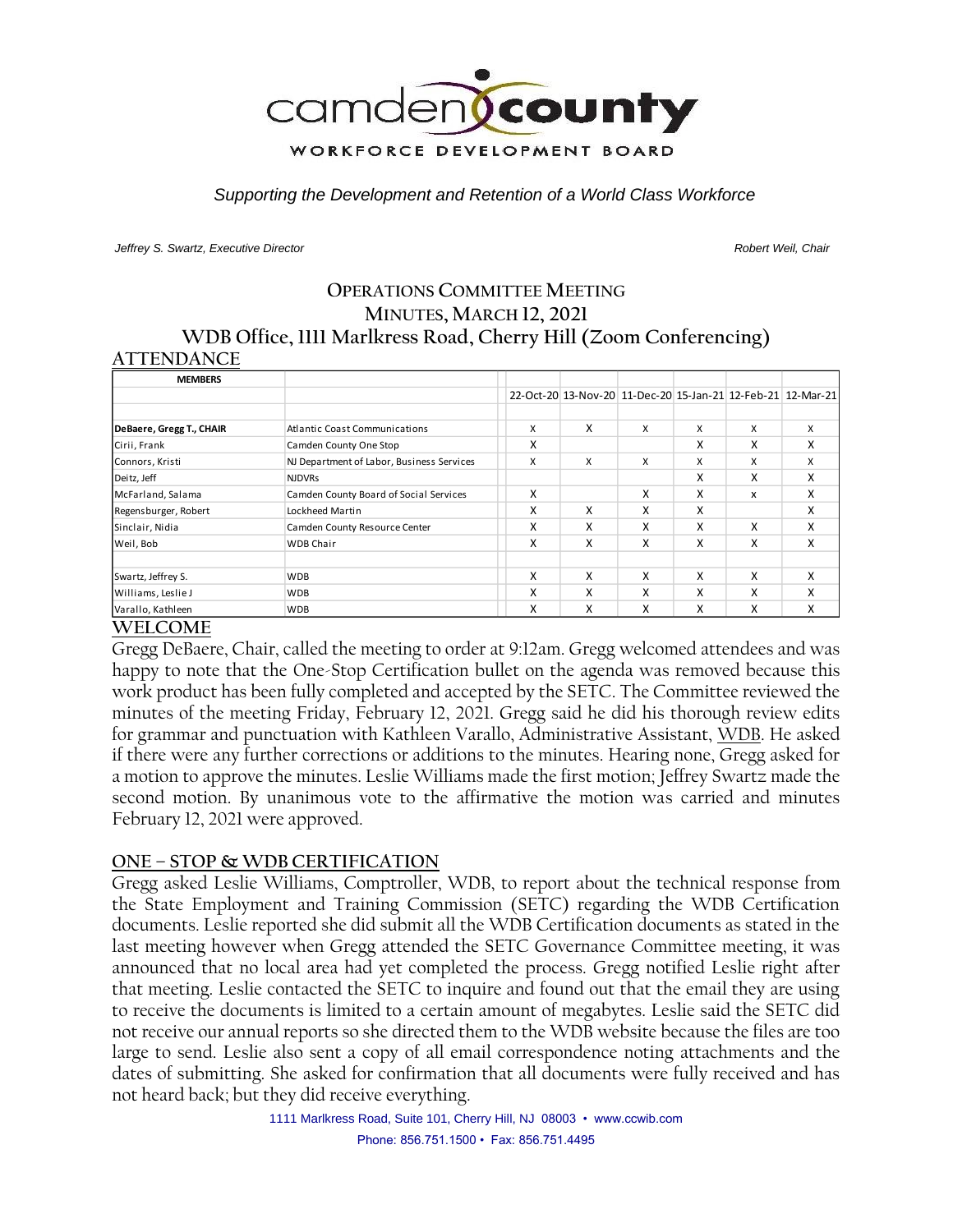

*Supporting the Development and Retention of a World Class Workforce*

*Jeffrey S. Swartz, Executive Director Robert Weil, Chair* 

## **OPERATIONS COMMITTEE MEETING MINUTES, MARCH 12, 2021 WDB Office, 1111 Marlkress Road, Cherry Hill (Zoom Conferencing) ATTENDANCE**

| <b>MEMBERS</b>           |                                           |   |                                                             |   |   |   |   |
|--------------------------|-------------------------------------------|---|-------------------------------------------------------------|---|---|---|---|
|                          |                                           |   | 22-Oct-20 13-Nov-20 11-Dec-20 15-Jan-21 12-Feb-21 12-Mar-21 |   |   |   |   |
|                          |                                           |   |                                                             |   |   |   |   |
| DeBaere, Gregg T., CHAIR | <b>Atlantic Coast Communications</b>      | X | x                                                           | X | X | X | x |
| Cirii, Frank             | Camden County One Stop                    | X |                                                             |   | x | x | X |
| Connors, Kristi          | NJ Department of Labor, Business Services | X | X                                                           | x | X | x | x |
| Deitz, Jeff              | <b>NJDVRs</b>                             |   |                                                             |   | X | X | x |
| McFarland, Salama        | Camden County Board of Social Services    | x |                                                             | x | x | x | x |
| Regensburger, Robert     | Lockheed Martin                           | X | x                                                           | x | x |   | x |
| Sinclair, Nidia          | Camden County Resource Center             | X | x                                                           | x | x | x | x |
| Weil, Bob                | <b>WDB Chair</b>                          | x | x                                                           | x | x | x | x |
|                          |                                           |   |                                                             |   |   |   |   |
| Swartz, Jeffrey S.       | <b>WDB</b>                                | X | X                                                           | x | x | X | X |
| Williams, Leslie J       | <b>WDB</b>                                | Χ | x                                                           | x | x | x | x |
| Varallo, Kathleen        | <b>WDB</b>                                | x | x                                                           | x | X | X | x |

## **WELCOME**

Gregg DeBaere, Chair, called the meeting to order at 9:12am. Gregg welcomed attendees and was happy to note that the One-Stop Certification bullet on the agenda was removed because this work product has been fully completed and accepted by the SETC. The Committee reviewed the minutes of the meeting Friday, February 12, 2021. Gregg said he did his thorough review edits for grammar and punctuation with Kathleen Varallo, Administrative Assistant, WDB. He asked if there were any further corrections or additions to the minutes. Hearing none, Gregg asked for a motion to approve the minutes. Leslie Williams made the first motion; Jeffrey Swartz made the second motion. By unanimous vote to the affirmative the motion was carried and minutes February 12, 2021 were approved.

## **ONE – STOP & WDB CERTIFICATION**

Gregg asked Leslie Williams, Comptroller, WDB, to report about the technical response from the State Employment and Training Commission (SETC) regarding the WDB Certification documents. Leslie reported she did submit all the WDB Certification documents as stated in the last meeting however when Gregg attended the SETC Governance Committee meeting, it was announced that no local area had yet completed the process. Gregg notified Leslie right after that meeting. Leslie contacted the SETC to inquire and found out that the email they are using to receive the documents is limited to a certain amount of megabytes. Leslie said the SETC did not receive our annual reports so she directed them to the WDB website because the files are too large to send. Leslie also sent a copy of all email correspondence noting attachments and the dates of submitting. She asked for confirmation that all documents were fully received and has not heard back; but they did receive everything.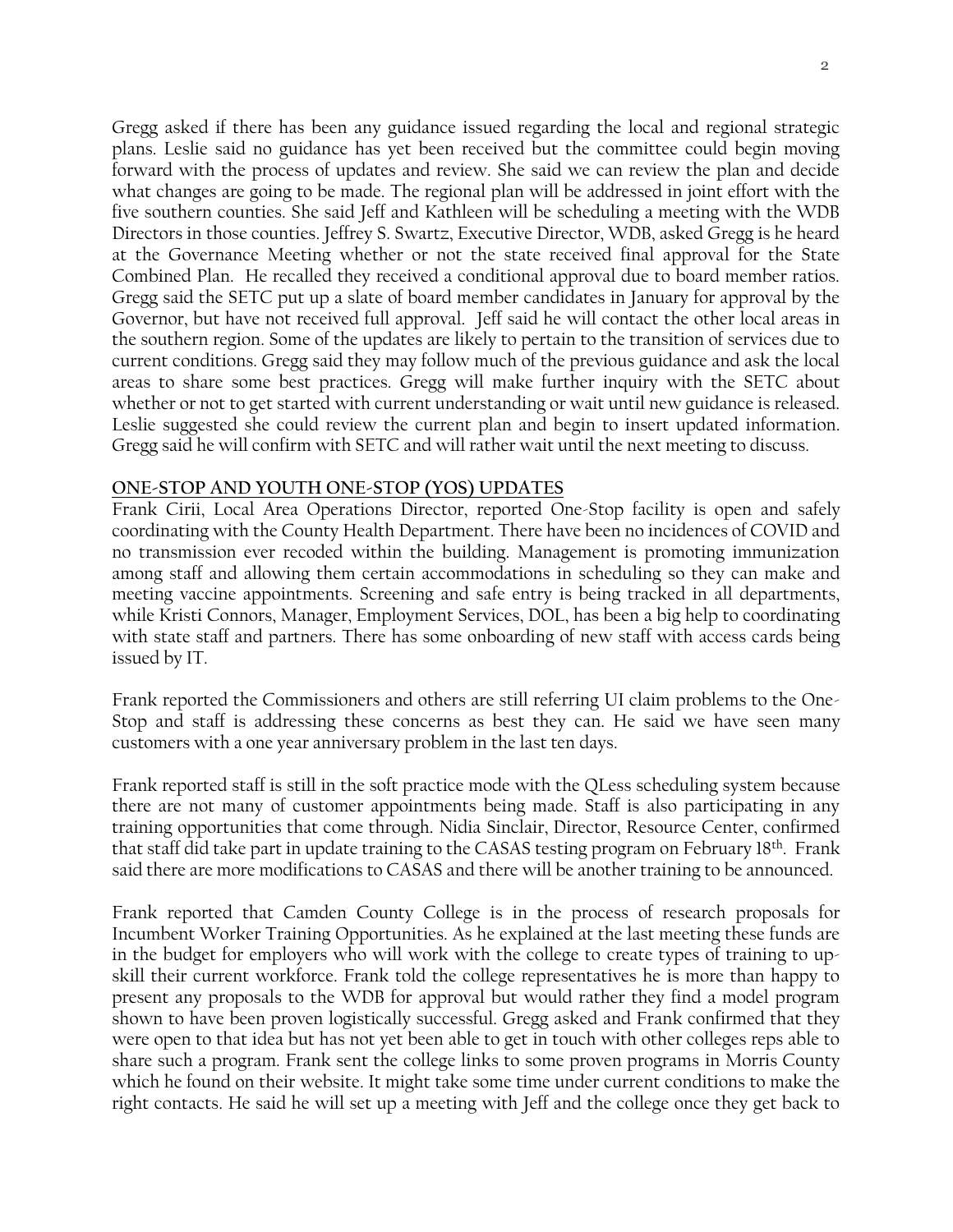Gregg asked if there has been any guidance issued regarding the local and regional strategic plans. Leslie said no guidance has yet been received but the committee could begin moving forward with the process of updates and review. She said we can review the plan and decide what changes are going to be made. The regional plan will be addressed in joint effort with the five southern counties. She said Jeff and Kathleen will be scheduling a meeting with the WDB Directors in those counties. Jeffrey S. Swartz, Executive Director, WDB, asked Gregg is he heard at the Governance Meeting whether or not the state received final approval for the State Combined Plan. He recalled they received a conditional approval due to board member ratios. Gregg said the SETC put up a slate of board member candidates in January for approval by the Governor, but have not received full approval. Jeff said he will contact the other local areas in the southern region. Some of the updates are likely to pertain to the transition of services due to current conditions. Gregg said they may follow much of the previous guidance and ask the local areas to share some best practices. Gregg will make further inquiry with the SETC about whether or not to get started with current understanding or wait until new guidance is released. Leslie suggested she could review the current plan and begin to insert updated information. Gregg said he will confirm with SETC and will rather wait until the next meeting to discuss.

#### **ONE-STOP AND YOUTH ONE-STOP (YOS) UPDATES**

Frank Cirii, Local Area Operations Director, reported One-Stop facility is open and safely coordinating with the County Health Department. There have been no incidences of COVID and no transmission ever recoded within the building. Management is promoting immunization among staff and allowing them certain accommodations in scheduling so they can make and meeting vaccine appointments. Screening and safe entry is being tracked in all departments, while Kristi Connors, Manager, Employment Services, DOL, has been a big help to coordinating with state staff and partners. There has some onboarding of new staff with access cards being issued by IT.

Frank reported the Commissioners and others are still referring UI claim problems to the One-Stop and staff is addressing these concerns as best they can. He said we have seen many customers with a one year anniversary problem in the last ten days.

Frank reported staff is still in the soft practice mode with the QLess scheduling system because there are not many of customer appointments being made. Staff is also participating in any training opportunities that come through. Nidia Sinclair, Director, Resource Center, confirmed that staff did take part in update training to the CASAS testing program on February 18th. Frank said there are more modifications to CASAS and there will be another training to be announced.

Frank reported that Camden County College is in the process of research proposals for Incumbent Worker Training Opportunities. As he explained at the last meeting these funds are in the budget for employers who will work with the college to create types of training to upskill their current workforce. Frank told the college representatives he is more than happy to present any proposals to the WDB for approval but would rather they find a model program shown to have been proven logistically successful. Gregg asked and Frank confirmed that they were open to that idea but has not yet been able to get in touch with other colleges reps able to share such a program. Frank sent the college links to some proven programs in Morris County which he found on their website. It might take some time under current conditions to make the right contacts. He said he will set up a meeting with Jeff and the college once they get back to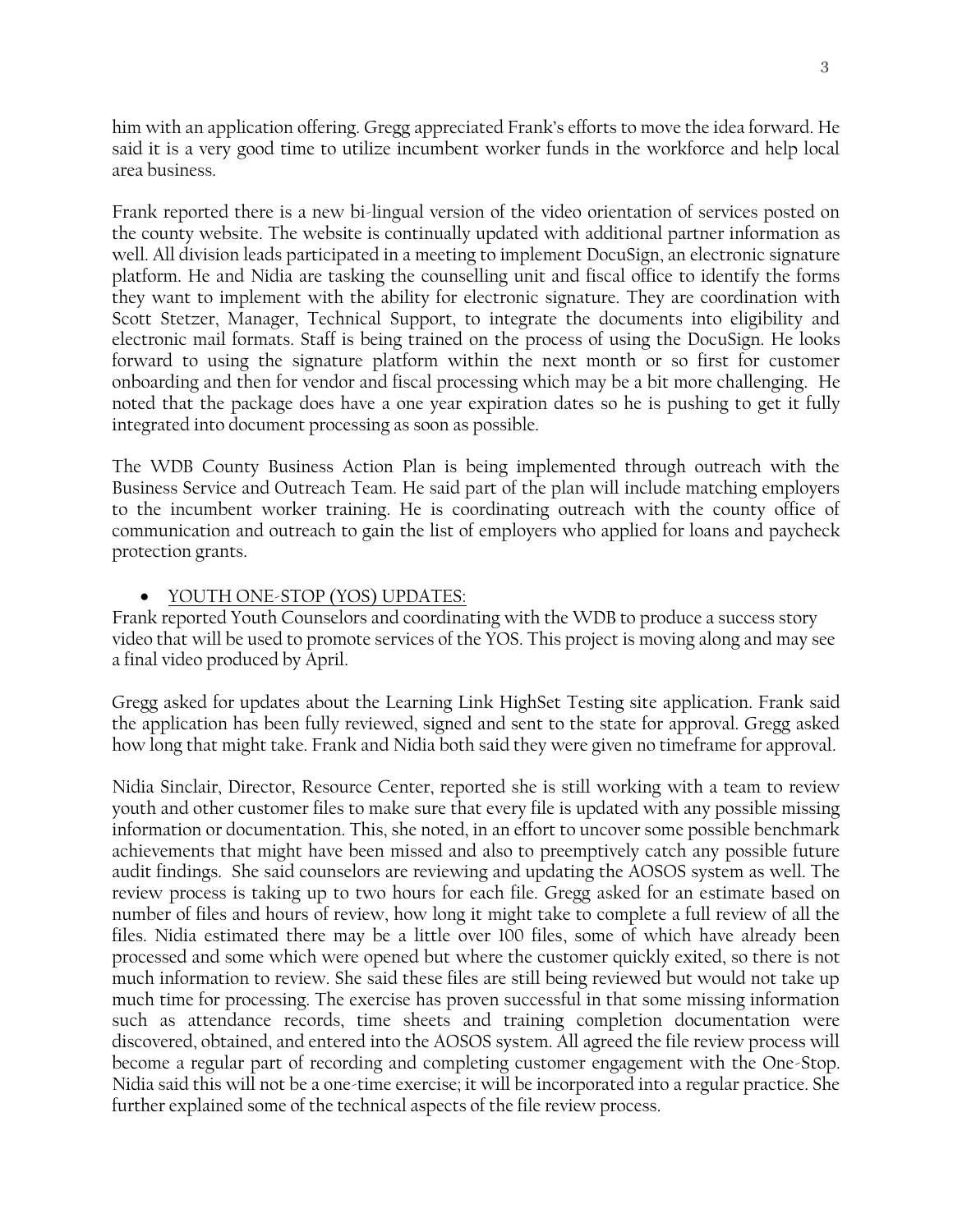him with an application offering. Gregg appreciated Frank's efforts to move the idea forward. He said it is a very good time to utilize incumbent worker funds in the workforce and help local area business.

Frank reported there is a new bi-lingual version of the video orientation of services posted on the county website. The website is continually updated with additional partner information as well. All division leads participated in a meeting to implement DocuSign, an electronic signature platform. He and Nidia are tasking the counselling unit and fiscal office to identify the forms they want to implement with the ability for electronic signature. They are coordination with Scott Stetzer, Manager, Technical Support, to integrate the documents into eligibility and electronic mail formats. Staff is being trained on the process of using the DocuSign. He looks forward to using the signature platform within the next month or so first for customer onboarding and then for vendor and fiscal processing which may be a bit more challenging. He noted that the package does have a one year expiration dates so he is pushing to get it fully integrated into document processing as soon as possible.

The WDB County Business Action Plan is being implemented through outreach with the Business Service and Outreach Team. He said part of the plan will include matching employers to the incumbent worker training. He is coordinating outreach with the county office of communication and outreach to gain the list of employers who applied for loans and paycheck protection grants.

## • YOUTH ONE-STOP (YOS) UPDATES:

Frank reported Youth Counselors and coordinating with the WDB to produce a success story video that will be used to promote services of the YOS. This project is moving along and may see a final video produced by April.

Gregg asked for updates about the Learning Link HighSet Testing site application. Frank said the application has been fully reviewed, signed and sent to the state for approval. Gregg asked how long that might take. Frank and Nidia both said they were given no timeframe for approval.

Nidia Sinclair, Director, Resource Center, reported she is still working with a team to review youth and other customer files to make sure that every file is updated with any possible missing information or documentation. This, she noted, in an effort to uncover some possible benchmark achievements that might have been missed and also to preemptively catch any possible future audit findings. She said counselors are reviewing and updating the AOSOS system as well. The review process is taking up to two hours for each file. Gregg asked for an estimate based on number of files and hours of review, how long it might take to complete a full review of all the files. Nidia estimated there may be a little over 100 files, some of which have already been processed and some which were opened but where the customer quickly exited, so there is not much information to review. She said these files are still being reviewed but would not take up much time for processing. The exercise has proven successful in that some missing information such as attendance records, time sheets and training completion documentation were discovered, obtained, and entered into the AOSOS system. All agreed the file review process will become a regular part of recording and completing customer engagement with the One-Stop. Nidia said this will not be a one-time exercise; it will be incorporated into a regular practice. She further explained some of the technical aspects of the file review process.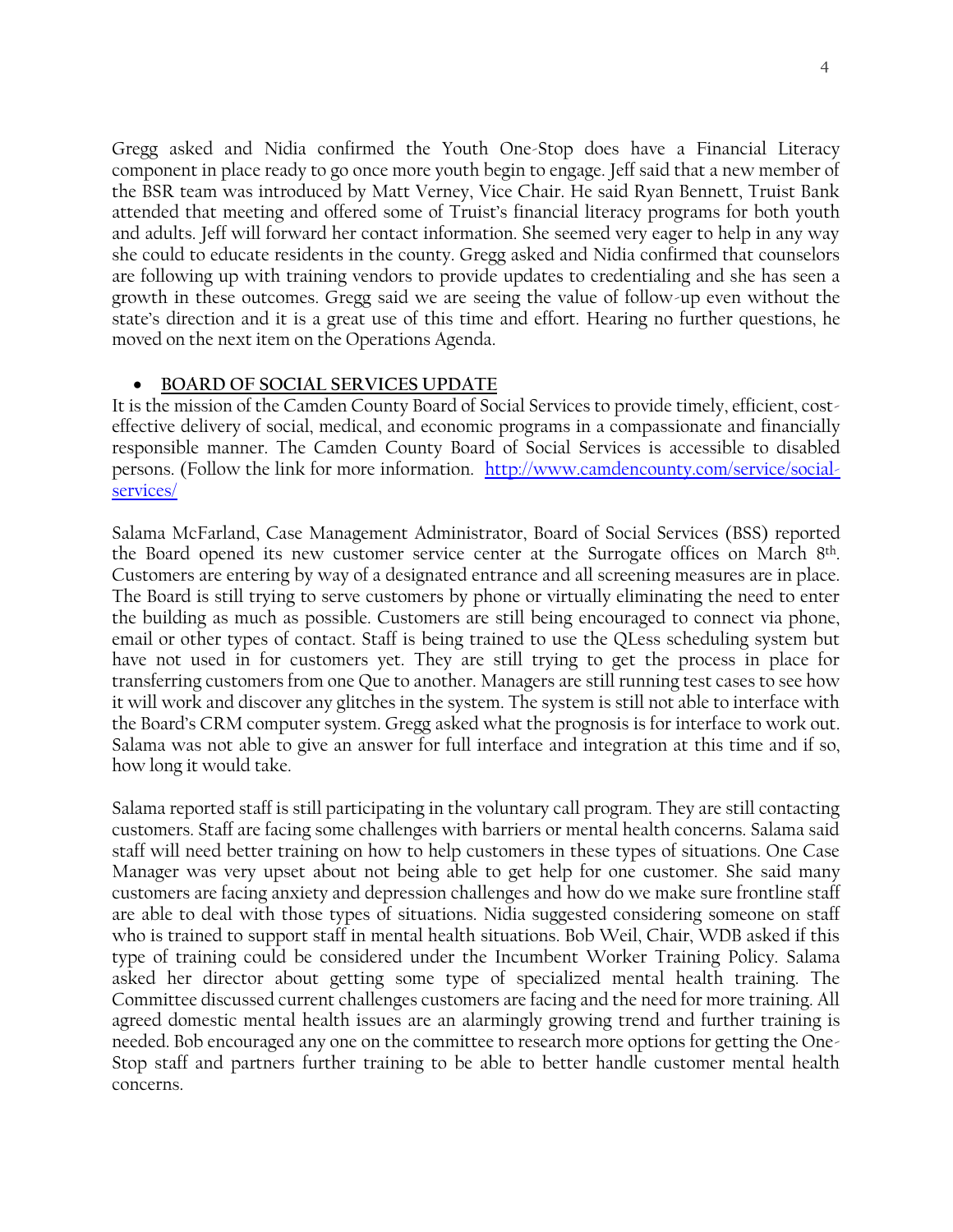Gregg asked and Nidia confirmed the Youth One-Stop does have a Financial Literacy component in place ready to go once more youth begin to engage. Jeff said that a new member of the BSR team was introduced by Matt Verney, Vice Chair. He said Ryan Bennett, Truist Bank attended that meeting and offered some of Truist's financial literacy programs for both youth and adults. Jeff will forward her contact information. She seemed very eager to help in any way she could to educate residents in the county. Gregg asked and Nidia confirmed that counselors are following up with training vendors to provide updates to credentialing and she has seen a growth in these outcomes. Gregg said we are seeing the value of follow-up even without the state's direction and it is a great use of this time and effort. Hearing no further questions, he moved on the next item on the Operations Agenda.

### • **BOARD OF SOCIAL SERVICES UPDATE**

It is the mission of the Camden County Board of Social Services to provide timely, efficient, costeffective delivery of social, medical, and economic programs in a compassionate and financially responsible manner. The Camden County Board of Social Services is accessible to disabled persons. (Follow the link for more information. [http://www.camdencounty.com/service/social](http://www.camdencounty.com/service/social-services/)[services/](http://www.camdencounty.com/service/social-services/)

Salama McFarland, Case Management Administrator, Board of Social Services (BSS) reported the Board opened its new customer service center at the Surrogate offices on March 8<sup>th</sup>. Customers are entering by way of a designated entrance and all screening measures are in place. The Board is still trying to serve customers by phone or virtually eliminating the need to enter the building as much as possible. Customers are still being encouraged to connect via phone, email or other types of contact. Staff is being trained to use the QLess scheduling system but have not used in for customers yet. They are still trying to get the process in place for transferring customers from one Que to another. Managers are still running test cases to see how it will work and discover any glitches in the system. The system is still not able to interface with the Board's CRM computer system. Gregg asked what the prognosis is for interface to work out. Salama was not able to give an answer for full interface and integration at this time and if so, how long it would take.

Salama reported staff is still participating in the voluntary call program. They are still contacting customers. Staff are facing some challenges with barriers or mental health concerns. Salama said staff will need better training on how to help customers in these types of situations. One Case Manager was very upset about not being able to get help for one customer. She said many customers are facing anxiety and depression challenges and how do we make sure frontline staff are able to deal with those types of situations. Nidia suggested considering someone on staff who is trained to support staff in mental health situations. Bob Weil, Chair, WDB asked if this type of training could be considered under the Incumbent Worker Training Policy. Salama asked her director about getting some type of specialized mental health training. The Committee discussed current challenges customers are facing and the need for more training. All agreed domestic mental health issues are an alarmingly growing trend and further training is needed. Bob encouraged any one on the committee to research more options for getting the One-Stop staff and partners further training to be able to better handle customer mental health concerns.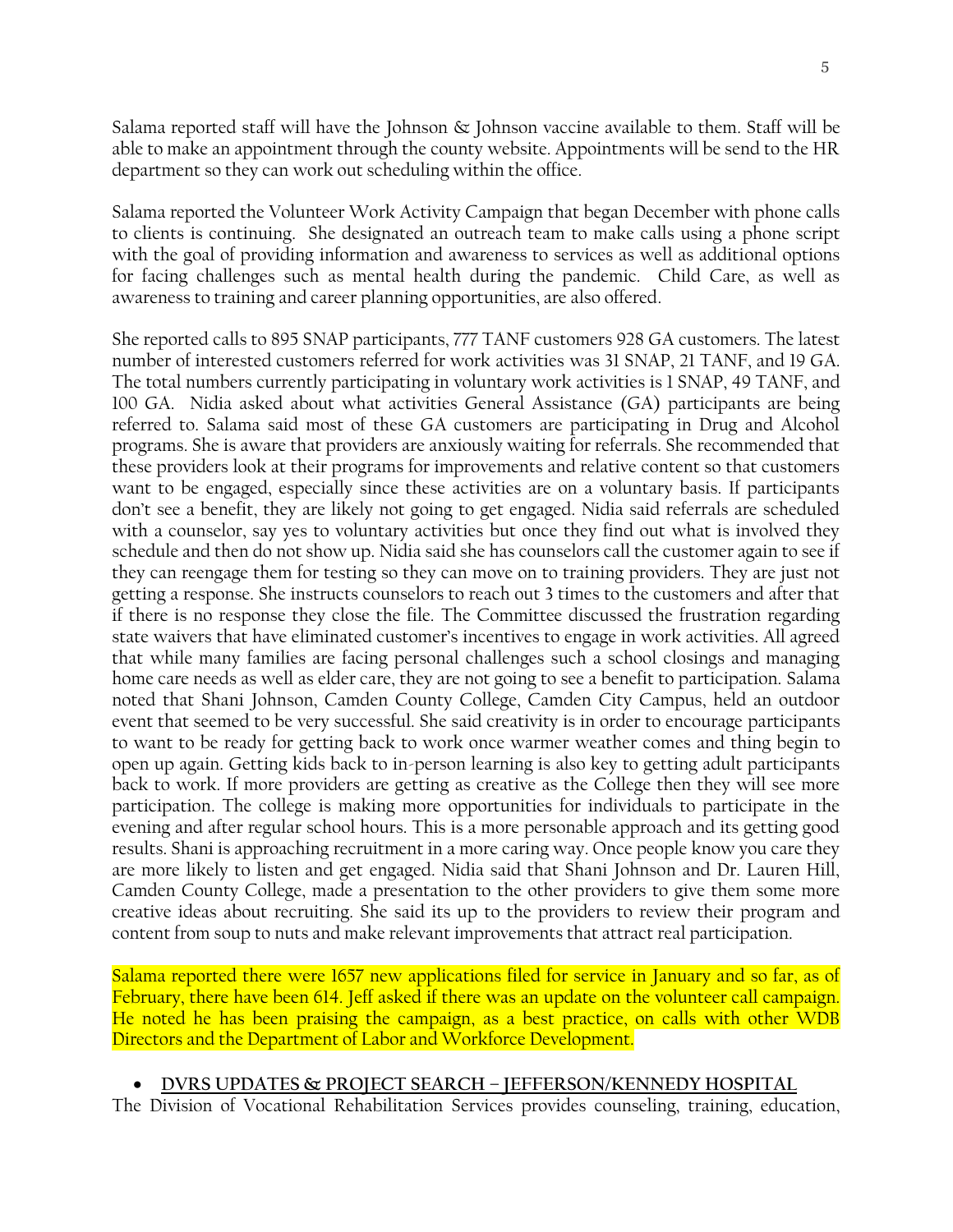Salama reported staff will have the Johnson & Johnson vaccine available to them. Staff will be able to make an appointment through the county website. Appointments will be send to the HR department so they can work out scheduling within the office.

Salama reported the Volunteer Work Activity Campaign that began December with phone calls to clients is continuing. She designated an outreach team to make calls using a phone script with the goal of providing information and awareness to services as well as additional options for facing challenges such as mental health during the pandemic. Child Care, as well as awareness to training and career planning opportunities, are also offered.

She reported calls to 895 SNAP participants, 777 TANF customers 928 GA customers. The latest number of interested customers referred for work activities was 31 SNAP, 21 TANF, and 19 GA. The total numbers currently participating in voluntary work activities is 1 SNAP, 49 TANF, and 100 GA. Nidia asked about what activities General Assistance (GA) participants are being referred to. Salama said most of these GA customers are participating in Drug and Alcohol programs. She is aware that providers are anxiously waiting for referrals. She recommended that these providers look at their programs for improvements and relative content so that customers want to be engaged, especially since these activities are on a voluntary basis. If participants don't see a benefit, they are likely not going to get engaged. Nidia said referrals are scheduled with a counselor, say yes to voluntary activities but once they find out what is involved they schedule and then do not show up. Nidia said she has counselors call the customer again to see if they can reengage them for testing so they can move on to training providers. They are just not getting a response. She instructs counselors to reach out 3 times to the customers and after that if there is no response they close the file. The Committee discussed the frustration regarding state waivers that have eliminated customer's incentives to engage in work activities. All agreed that while many families are facing personal challenges such a school closings and managing home care needs as well as elder care, they are not going to see a benefit to participation. Salama noted that Shani Johnson, Camden County College, Camden City Campus, held an outdoor event that seemed to be very successful. She said creativity is in order to encourage participants to want to be ready for getting back to work once warmer weather comes and thing begin to open up again. Getting kids back to in-person learning is also key to getting adult participants back to work. If more providers are getting as creative as the College then they will see more participation. The college is making more opportunities for individuals to participate in the evening and after regular school hours. This is a more personable approach and its getting good results. Shani is approaching recruitment in a more caring way. Once people know you care they are more likely to listen and get engaged. Nidia said that Shani Johnson and Dr. Lauren Hill, Camden County College, made a presentation to the other providers to give them some more creative ideas about recruiting. She said its up to the providers to review their program and content from soup to nuts and make relevant improvements that attract real participation.

Salama reported there were 1657 new applications filed for service in January and so far, as of February, there have been 614. Jeff asked if there was an update on the volunteer call campaign. He noted he has been praising the campaign, as a best practice, on calls with other WDB Directors and the Department of Labor and Workforce Development.

#### • **DVRS UPDATES & PROJECT SEARCH – JEFFERSON/KENNEDY HOSPITAL**

The Division of Vocational Rehabilitation Services provides counseling, training, education,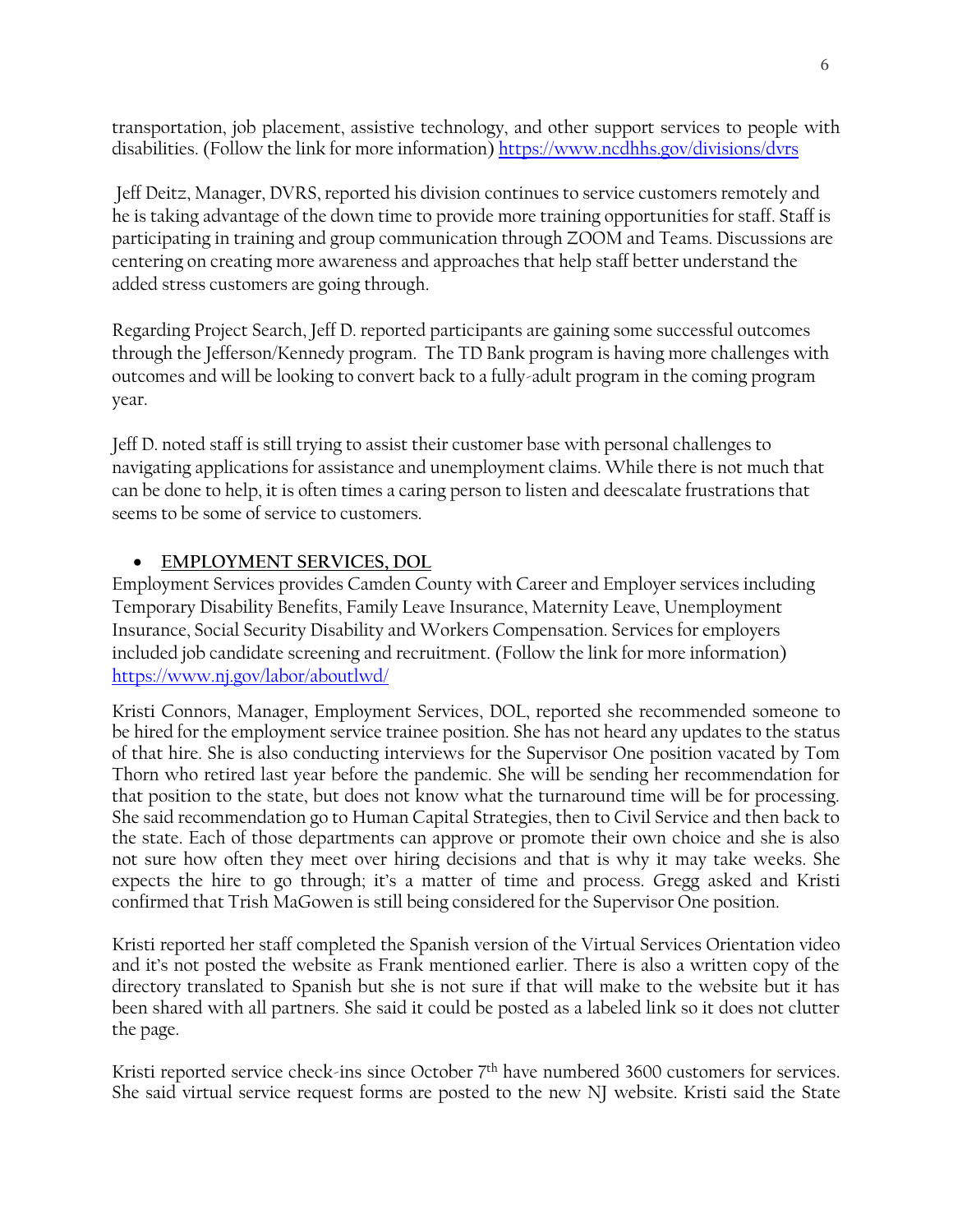transportation, job placement, assistive technology, and other support services to people with disabilities. (Follow the link for more information) <https://www.ncdhhs.gov/divisions/dvrs>

Jeff Deitz, Manager, DVRS, reported his division continues to service customers remotely and he is taking advantage of the down time to provide more training opportunities for staff. Staff is participating in training and group communication through ZOOM and Teams. Discussions are centering on creating more awareness and approaches that help staff better understand the added stress customers are going through.

Regarding Project Search, Jeff D. reported participants are gaining some successful outcomes through the Jefferson/Kennedy program. The TD Bank program is having more challenges with outcomes and will be looking to convert back to a fully-adult program in the coming program year.

Jeff D. noted staff is still trying to assist their customer base with personal challenges to navigating applications for assistance and unemployment claims. While there is not much that can be done to help, it is often times a caring person to listen and deescalate frustrations that seems to be some of service to customers.

# • **EMPLOYMENT SERVICES, DOL**

Employment Services provides Camden County with Career and Employer services including Temporary Disability Benefits, Family Leave Insurance, Maternity Leave, Unemployment Insurance, Social Security Disability and Workers Compensation. Services for employers included job candidate screening and recruitment. (Follow the link for more information) <https://www.nj.gov/labor/aboutlwd/>

Kristi Connors, Manager, Employment Services, DOL, reported she recommended someone to be hired for the employment service trainee position. She has not heard any updates to the status of that hire. She is also conducting interviews for the Supervisor One position vacated by Tom Thorn who retired last year before the pandemic. She will be sending her recommendation for that position to the state, but does not know what the turnaround time will be for processing. She said recommendation go to Human Capital Strategies, then to Civil Service and then back to the state. Each of those departments can approve or promote their own choice and she is also not sure how often they meet over hiring decisions and that is why it may take weeks. She expects the hire to go through; it's a matter of time and process. Gregg asked and Kristi confirmed that Trish MaGowen is still being considered for the Supervisor One position.

Kristi reported her staff completed the Spanish version of the Virtual Services Orientation video and it's not posted the website as Frank mentioned earlier. There is also a written copy of the directory translated to Spanish but she is not sure if that will make to the website but it has been shared with all partners. She said it could be posted as a labeled link so it does not clutter the page.

Kristi reported service check-ins since October 7<sup>th</sup> have numbered 3600 customers for services. She said virtual service request forms are posted to the new NJ website. Kristi said the State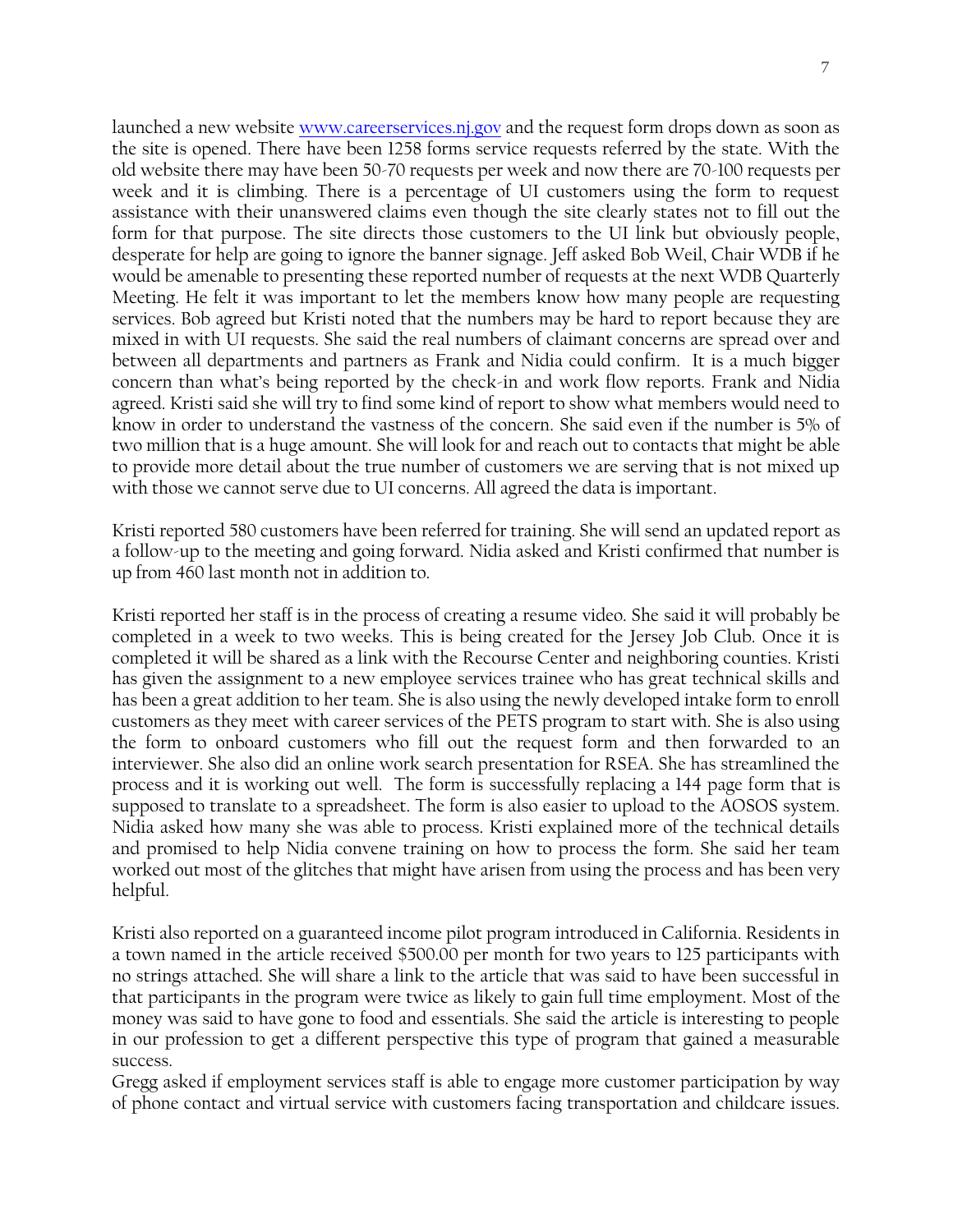launched a new website [www.careerservices.nj.gov](http://www.careerservices.nj.gov/) and the request form drops down as soon as the site is opened. There have been 1258 forms service requests referred by the state. With the old website there may have been 50-70 requests per week and now there are 70-100 requests per week and it is climbing. There is a percentage of UI customers using the form to request assistance with their unanswered claims even though the site clearly states not to fill out the form for that purpose. The site directs those customers to the UI link but obviously people, desperate for help are going to ignore the banner signage. Jeff asked Bob Weil, Chair WDB if he would be amenable to presenting these reported number of requests at the next WDB Quarterly Meeting. He felt it was important to let the members know how many people are requesting services. Bob agreed but Kristi noted that the numbers may be hard to report because they are mixed in with UI requests. She said the real numbers of claimant concerns are spread over and between all departments and partners as Frank and Nidia could confirm. It is a much bigger concern than what's being reported by the check-in and work flow reports. Frank and Nidia agreed. Kristi said she will try to find some kind of report to show what members would need to know in order to understand the vastness of the concern. She said even if the number is 5% of two million that is a huge amount. She will look for and reach out to contacts that might be able to provide more detail about the true number of customers we are serving that is not mixed up with those we cannot serve due to UI concerns. All agreed the data is important.

Kristi reported 580 customers have been referred for training. She will send an updated report as a follow-up to the meeting and going forward. Nidia asked and Kristi confirmed that number is up from 460 last month not in addition to.

Kristi reported her staff is in the process of creating a resume video. She said it will probably be completed in a week to two weeks. This is being created for the Jersey Job Club. Once it is completed it will be shared as a link with the Recourse Center and neighboring counties. Kristi has given the assignment to a new employee services trainee who has great technical skills and has been a great addition to her team. She is also using the newly developed intake form to enroll customers as they meet with career services of the PETS program to start with. She is also using the form to onboard customers who fill out the request form and then forwarded to an interviewer. She also did an online work search presentation for RSEA. She has streamlined the process and it is working out well. The form is successfully replacing a 144 page form that is supposed to translate to a spreadsheet. The form is also easier to upload to the AOSOS system. Nidia asked how many she was able to process. Kristi explained more of the technical details and promised to help Nidia convene training on how to process the form. She said her team worked out most of the glitches that might have arisen from using the process and has been very helpful.

Kristi also reported on a guaranteed income pilot program introduced in California. Residents in a town named in the article received \$500.00 per month for two years to 125 participants with no strings attached. She will share a link to the article that was said to have been successful in that participants in the program were twice as likely to gain full time employment. Most of the money was said to have gone to food and essentials. She said the article is interesting to people in our profession to get a different perspective this type of program that gained a measurable success.

Gregg asked if employment services staff is able to engage more customer participation by way of phone contact and virtual service with customers facing transportation and childcare issues.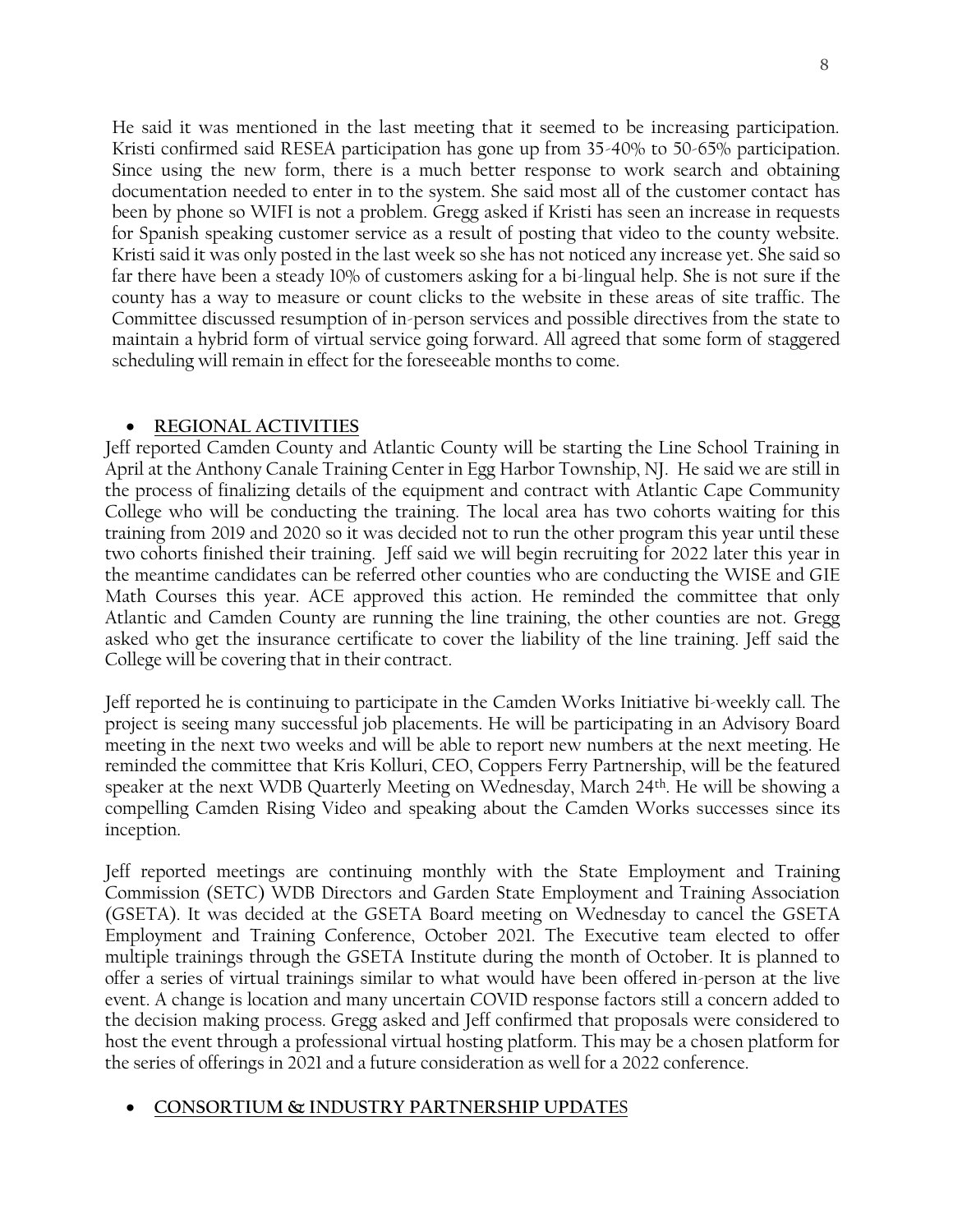He said it was mentioned in the last meeting that it seemed to be increasing participation. Kristi confirmed said RESEA participation has gone up from 35-40% to 50-65% participation. Since using the new form, there is a much better response to work search and obtaining documentation needed to enter in to the system. She said most all of the customer contact has been by phone so WIFI is not a problem. Gregg asked if Kristi has seen an increase in requests for Spanish speaking customer service as a result of posting that video to the county website. Kristi said it was only posted in the last week so she has not noticed any increase yet. She said so far there have been a steady 10% of customers asking for a bi-lingual help. She is not sure if the county has a way to measure or count clicks to the website in these areas of site traffic. The Committee discussed resumption of in-person services and possible directives from the state to maintain a hybrid form of virtual service going forward. All agreed that some form of staggered scheduling will remain in effect for the foreseeable months to come.

## • **REGIONAL ACTIVITIES**

Jeff reported Camden County and Atlantic County will be starting the Line School Training in April at the Anthony Canale Training Center in Egg Harbor Township, NJ. He said we are still in the process of finalizing details of the equipment and contract with Atlantic Cape Community College who will be conducting the training. The local area has two cohorts waiting for this training from 2019 and 2020 so it was decided not to run the other program this year until these two cohorts finished their training. Jeff said we will begin recruiting for 2022 later this year in the meantime candidates can be referred other counties who are conducting the WISE and GIE Math Courses this year. ACE approved this action. He reminded the committee that only Atlantic and Camden County are running the line training, the other counties are not. Gregg asked who get the insurance certificate to cover the liability of the line training. Jeff said the College will be covering that in their contract.

Jeff reported he is continuing to participate in the Camden Works Initiative bi-weekly call. The project is seeing many successful job placements. He will be participating in an Advisory Board meeting in the next two weeks and will be able to report new numbers at the next meeting. He reminded the committee that Kris Kolluri, CEO, Coppers Ferry Partnership, will be the featured speaker at the next WDB Quarterly Meeting on Wednesday, March 24th. He will be showing a compelling Camden Rising Video and speaking about the Camden Works successes since its inception.

Jeff reported meetings are continuing monthly with the State Employment and Training Commission (SETC) WDB Directors and Garden State Employment and Training Association (GSETA). It was decided at the GSETA Board meeting on Wednesday to cancel the GSETA Employment and Training Conference, October 2021. The Executive team elected to offer multiple trainings through the GSETA Institute during the month of October. It is planned to offer a series of virtual trainings similar to what would have been offered in-person at the live event. A change is location and many uncertain COVID response factors still a concern added to the decision making process. Gregg asked and Jeff confirmed that proposals were considered to host the event through a professional virtual hosting platform. This may be a chosen platform for the series of offerings in 2021 and a future consideration as well for a 2022 conference.

## • **CONSORTIUM & INDUSTRY PARTNERSHIP UPDATE**S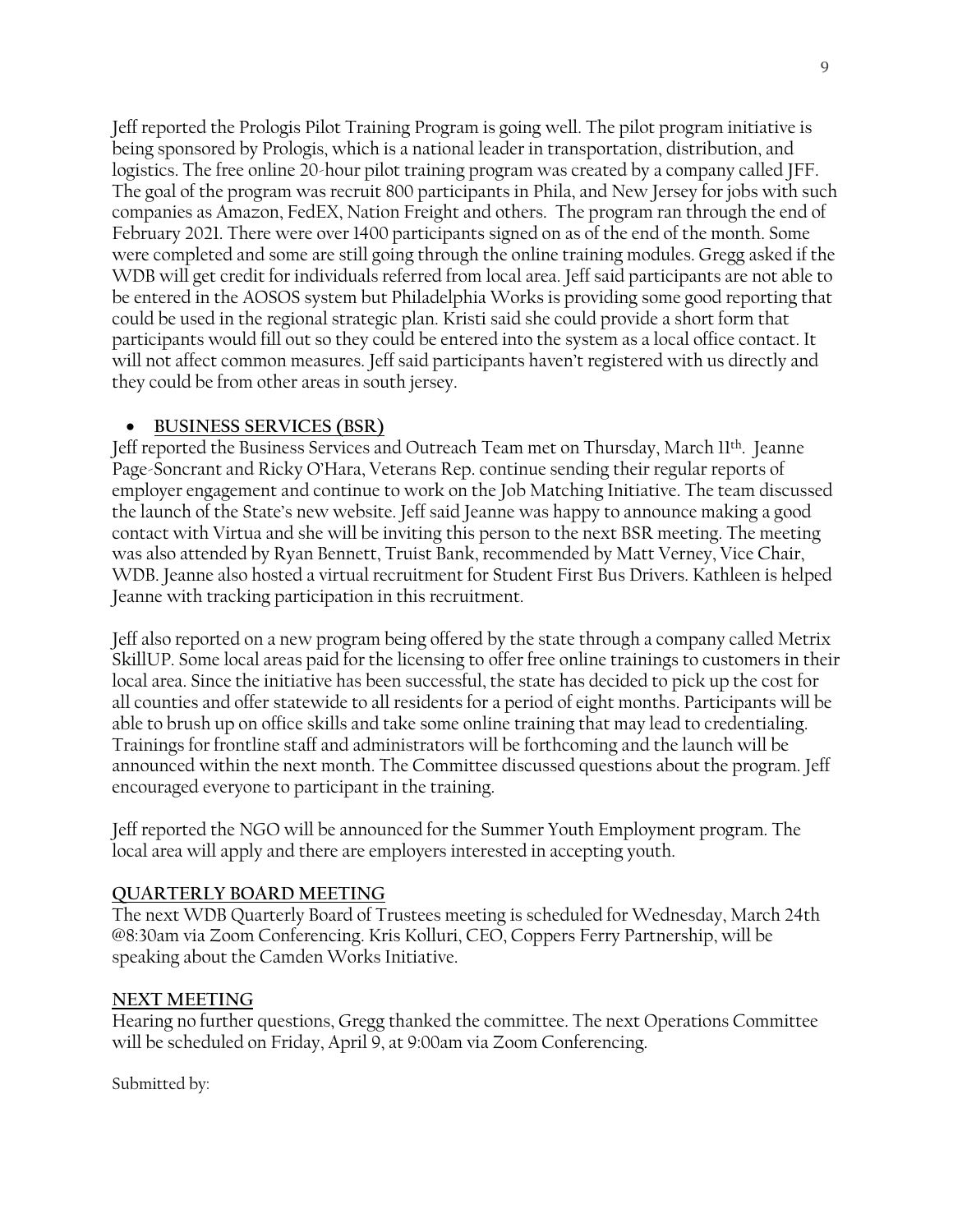Jeff reported the Prologis Pilot Training Program is going well. The pilot program initiative is being sponsored by Prologis, which is a national leader in transportation, distribution, and logistics. The free online 20-hour pilot training program was created by a company called JFF. The goal of the program was recruit 800 participants in Phila, and New Jersey for jobs with such companies as Amazon, FedEX, Nation Freight and others. The program ran through the end of February 2021. There were over 1400 participants signed on as of the end of the month. Some were completed and some are still going through the online training modules. Gregg asked if the WDB will get credit for individuals referred from local area. Jeff said participants are not able to be entered in the AOSOS system but Philadelphia Works is providing some good reporting that could be used in the regional strategic plan. Kristi said she could provide a short form that participants would fill out so they could be entered into the system as a local office contact. It will not affect common measures. Jeff said participants haven't registered with us directly and they could be from other areas in south jersey.

## • **BUSINESS SERVICES (BSR)**

Jeff reported the Business Services and Outreach Team met on Thursday, March 11th . Jeanne Page-Soncrant and Ricky O'Hara, Veterans Rep. continue sending their regular reports of employer engagement and continue to work on the Job Matching Initiative. The team discussed the launch of the State's new website. Jeff said Jeanne was happy to announce making a good contact with Virtua and she will be inviting this person to the next BSR meeting. The meeting was also attended by Ryan Bennett, Truist Bank, recommended by Matt Verney, Vice Chair, WDB. Jeanne also hosted a virtual recruitment for Student First Bus Drivers. Kathleen is helped Jeanne with tracking participation in this recruitment.

Jeff also reported on a new program being offered by the state through a company called Metrix SkillUP. Some local areas paid for the licensing to offer free online trainings to customers in their local area. Since the initiative has been successful, the state has decided to pick up the cost for all counties and offer statewide to all residents for a period of eight months. Participants will be able to brush up on office skills and take some online training that may lead to credentialing. Trainings for frontline staff and administrators will be forthcoming and the launch will be announced within the next month. The Committee discussed questions about the program. Jeff encouraged everyone to participant in the training.

Jeff reported the NGO will be announced for the Summer Youth Employment program. The local area will apply and there are employers interested in accepting youth.

# **QUARTERLY BOARD MEETING**

The next WDB Quarterly Board of Trustees meeting is scheduled for Wednesday, March 24th @8:30am via Zoom Conferencing. Kris Kolluri, CEO, Coppers Ferry Partnership, will be speaking about the Camden Works Initiative.

## **NEXT MEETING**

Hearing no further questions, Gregg thanked the committee. The next Operations Committee will be scheduled on Friday, April 9, at 9:00am via Zoom Conferencing.

Submitted by: